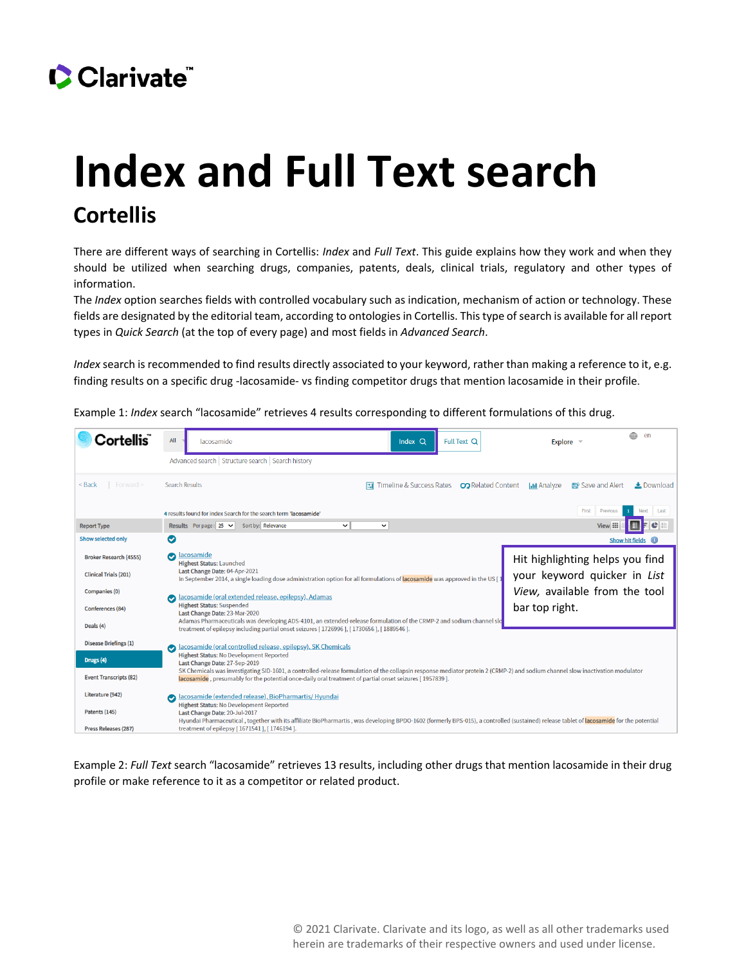## Clarivate

## **Index and Full Text search Cortellis**

There are different ways of searching in Cortellis: *Index* and *Full Text*. This guide explains how they work and when they should be utilized when searching drugs, companies, patents, deals, clinical trials, regulatory and other types of information.

The *Index* option searches fields with controlled vocabulary such as indication, mechanism of action or technology. These fields are designated by the editorial team, according to ontologies in Cortellis. This type of search is available for all report types in *Quick Search* (at the top of every page) and most fields in *Advanced Search*.

*Index* search is recommended to find results directly associated to your keyword, rather than making a reference to it, e.g. finding results on a specific drug -lacosamide- vs finding competitor drugs that mention lacosamide in their profile.

Example 1: *Index* search "lacosamide" retrieves 4 results corresponding to different formulations of this drug.



Example 2: *Full Text* search "lacosamide" retrieves 13 results, including other drugs that mention lacosamide in their drug profile or make reference to it as a competitor or related product.